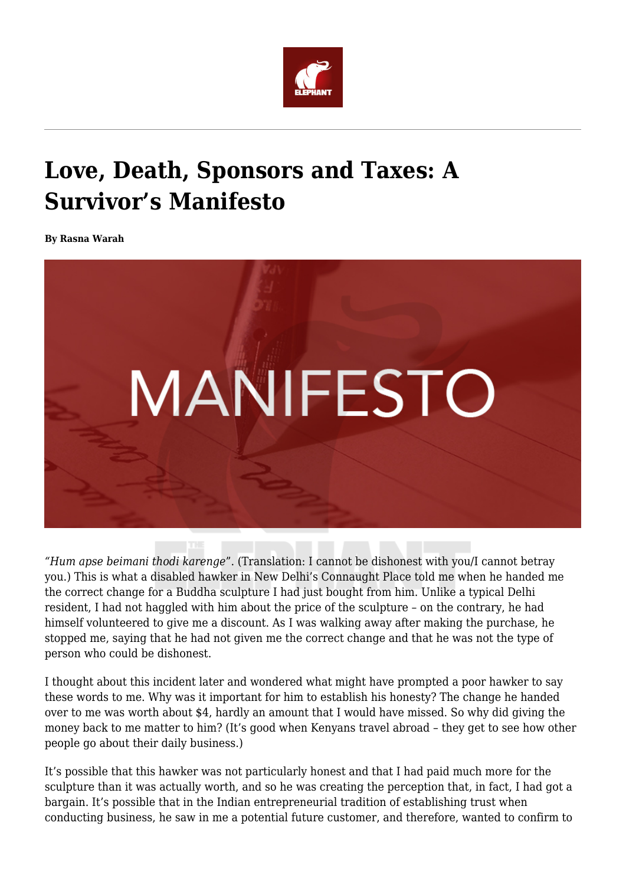

## **Love, Death, Sponsors and Taxes: A Survivor's Manifesto**

**By Rasna Warah**



*"Hum apse beimani thodi karenge*". (Translation: I cannot be dishonest with you/I cannot betray you.) This is what a disabled hawker in New Delhi's Connaught Place told me when he handed me the correct change for a Buddha sculpture I had just bought from him. Unlike a typical Delhi resident, I had not haggled with him about the price of the sculpture – on the contrary, he had himself volunteered to give me a discount. As I was walking away after making the purchase, he stopped me, saying that he had not given me the correct change and that he was not the type of person who could be dishonest.

I thought about this incident later and wondered what might have prompted a poor hawker to say these words to me. Why was it important for him to establish his honesty? The change he handed over to me was worth about \$4, hardly an amount that I would have missed. So why did giving the money back to me matter to him? (It's good when Kenyans travel abroad – they get to see how other people go about their daily business.)

It's possible that this hawker was not particularly honest and that I had paid much more for the sculpture than it was actually worth, and so he was creating the perception that, in fact, I had got a bargain. It's possible that in the Indian entrepreneurial tradition of establishing trust when conducting business, he saw in me a potential future customer, and therefore, wanted to confirm to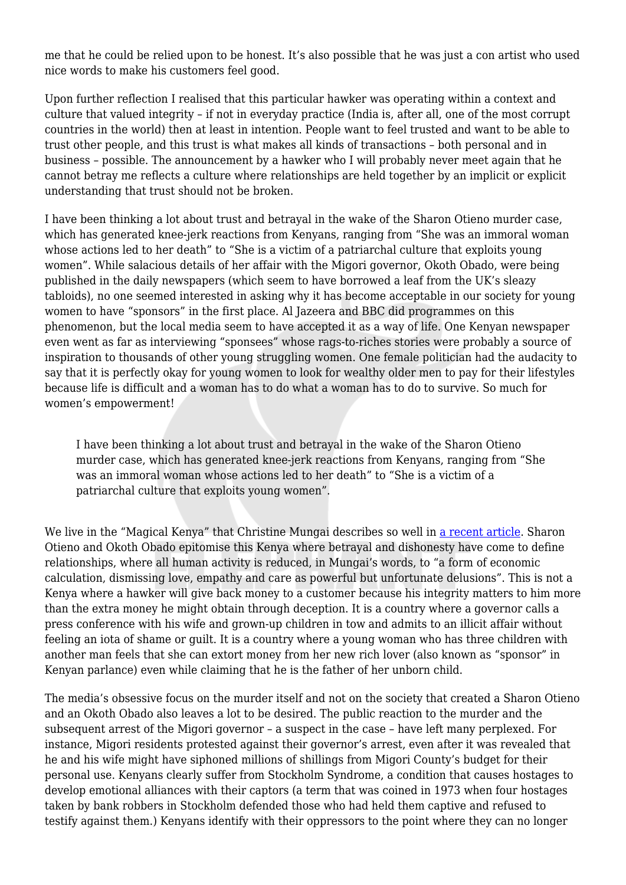me that he could be relied upon to be honest. It's also possible that he was just a con artist who used nice words to make his customers feel good.

Upon further reflection I realised that this particular hawker was operating within a context and culture that valued integrity – if not in everyday practice (India is, after all, one of the most corrupt countries in the world) then at least in intention. People want to feel trusted and want to be able to trust other people, and this trust is what makes all kinds of transactions – both personal and in business – possible. The announcement by a hawker who I will probably never meet again that he cannot betray me reflects a culture where relationships are held together by an implicit or explicit understanding that trust should not be broken.

I have been thinking a lot about trust and betrayal in the wake of the Sharon Otieno murder case, which has generated knee-jerk reactions from Kenyans, ranging from "She was an immoral woman whose actions led to her death" to "She is a victim of a patriarchal culture that exploits young women". While salacious details of her affair with the Migori governor, Okoth Obado, were being published in the daily newspapers (which seem to have borrowed a leaf from the UK's sleazy tabloids), no one seemed interested in asking why it has become acceptable in our society for young women to have "sponsors" in the first place. Al Jazeera and BBC did programmes on this phenomenon, but the local media seem to have accepted it as a way of life. One Kenyan newspaper even went as far as interviewing "sponsees" whose rags-to-riches stories were probably a source of inspiration to thousands of other young struggling women. One female politician had the audacity to say that it is perfectly okay for young women to look for wealthy older men to pay for their lifestyles because life is difficult and a woman has to do what a woman has to do to survive. So much for women's empowerment!

I have been thinking a lot about trust and betrayal in the wake of the Sharon Otieno murder case, which has generated knee-jerk reactions from Kenyans, ranging from "She was an immoral woman whose actions led to her death" to "She is a victim of a patriarchal culture that exploits young women".

We live in the "Magical Kenya" that Christine Mungai describes so well in [a recent article](https://www.theelephant.info/features/2018/09/06/magical-kenya-where-the-fantastic-blends-with-the-mundane-to-produce-the-unbelievable/). Sharon Otieno and Okoth Obado epitomise this Kenya where betrayal and dishonesty have come to define relationships, where all human activity is reduced, in Mungai's words, to "a form of economic calculation, dismissing love, empathy and care as powerful but unfortunate delusions". This is not a Kenya where a hawker will give back money to a customer because his integrity matters to him more than the extra money he might obtain through deception. It is a country where a governor calls a press conference with his wife and grown-up children in tow and admits to an illicit affair without feeling an iota of shame or guilt. It is a country where a young woman who has three children with another man feels that she can extort money from her new rich lover (also known as "sponsor" in Kenyan parlance) even while claiming that he is the father of her unborn child.

The media's obsessive focus on the murder itself and not on the society that created a Sharon Otieno and an Okoth Obado also leaves a lot to be desired. The public reaction to the murder and the subsequent arrest of the Migori governor – a suspect in the case – have left many perplexed. For instance, Migori residents protested against their governor's arrest, even after it was revealed that he and his wife might have siphoned millions of shillings from Migori County's budget for their personal use. Kenyans clearly suffer from Stockholm Syndrome, a condition that causes hostages to develop emotional alliances with their captors (a term that was coined in 1973 when four hostages taken by bank robbers in Stockholm defended those who had held them captive and refused to testify against them.) Kenyans identify with their oppressors to the point where they can no longer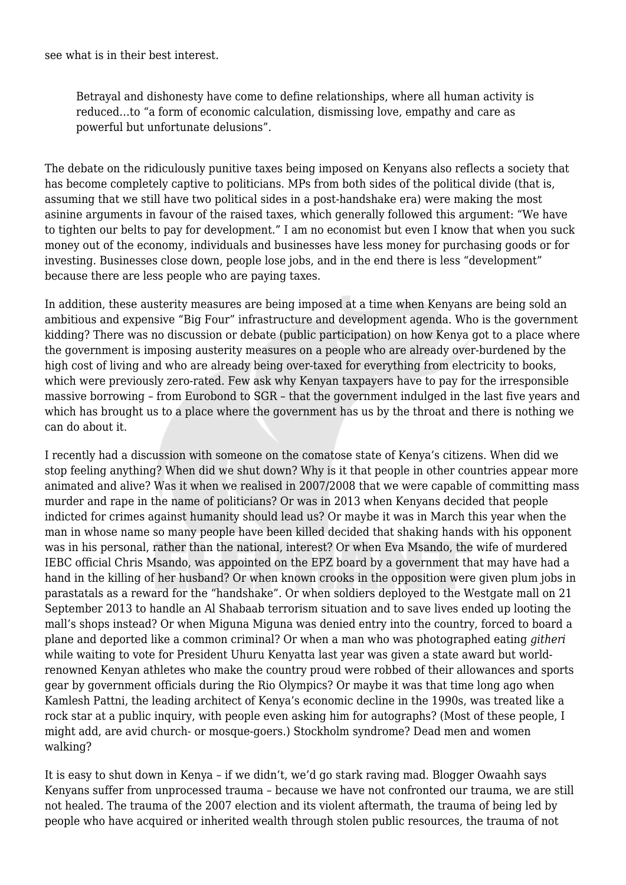see what is in their best interest.

Betrayal and dishonesty have come to define relationships, where all human activity is reduced…to "a form of economic calculation, dismissing love, empathy and care as powerful but unfortunate delusions".

The debate on the ridiculously punitive taxes being imposed on Kenyans also reflects a society that has become completely captive to politicians. MPs from both sides of the political divide (that is, assuming that we still have two political sides in a post-handshake era) were making the most asinine arguments in favour of the raised taxes, which generally followed this argument: "We have to tighten our belts to pay for development." I am no economist but even I know that when you suck money out of the economy, individuals and businesses have less money for purchasing goods or for investing. Businesses close down, people lose jobs, and in the end there is less "development" because there are less people who are paying taxes.

In addition, these austerity measures are being imposed at a time when Kenyans are being sold an ambitious and expensive "Big Four" infrastructure and development agenda. Who is the government kidding? There was no discussion or debate (public participation) on how Kenya got to a place where the government is imposing austerity measures on a people who are already over-burdened by the high cost of living and who are already being over-taxed for everything from electricity to books, which were previously zero-rated. Few ask why Kenyan taxpayers have to pay for the irresponsible massive borrowing – from Eurobond to SGR – that the government indulged in the last five years and which has brought us to a place where the government has us by the throat and there is nothing we can do about it.

I recently had a discussion with someone on the comatose state of Kenya's citizens. When did we stop feeling anything? When did we shut down? Why is it that people in other countries appear more animated and alive? Was it when we realised in 2007/2008 that we were capable of committing mass murder and rape in the name of politicians? Or was in 2013 when Kenyans decided that people indicted for crimes against humanity should lead us? Or maybe it was in March this year when the man in whose name so many people have been killed decided that shaking hands with his opponent was in his personal, rather than the national, interest? Or when Eva Msando, the wife of murdered IEBC official Chris Msando, was appointed on the EPZ board by a government that may have had a hand in the killing of her husband? Or when known crooks in the opposition were given plum jobs in parastatals as a reward for the "handshake". Or when soldiers deployed to the Westgate mall on 21 September 2013 to handle an Al Shabaab terrorism situation and to save lives ended up looting the mall's shops instead? Or when Miguna Miguna was denied entry into the country, forced to board a plane and deported like a common criminal? Or when a man who was photographed eating *githeri* while waiting to vote for President Uhuru Kenyatta last year was given a state award but worldrenowned Kenyan athletes who make the country proud were robbed of their allowances and sports gear by government officials during the Rio Olympics? Or maybe it was that time long ago when Kamlesh Pattni, the leading architect of Kenya's economic decline in the 1990s, was treated like a rock star at a public inquiry, with people even asking him for autographs? (Most of these people, I might add, are avid church- or mosque-goers.) Stockholm syndrome? Dead men and women walking?

It is easy to shut down in Kenya – if we didn't, we'd go stark raving mad. Blogger Owaahh says Kenyans suffer from unprocessed trauma – because we have not confronted our trauma, we are still not healed. The trauma of the 2007 election and its violent aftermath, the trauma of being led by people who have acquired or inherited wealth through stolen public resources, the trauma of not